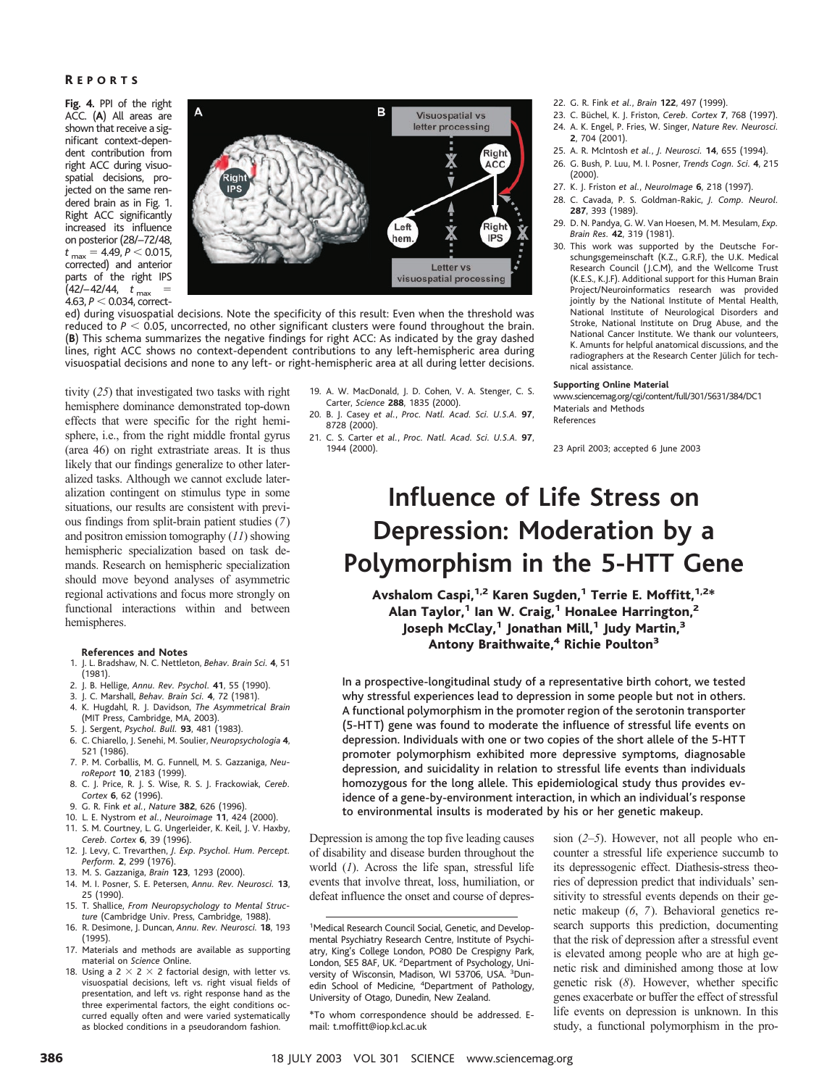## R EPORTS

**Fig. 4.** PPI of the right ACC. (**A**) All areas are shown that receive a significant context-dependent contribution from right ACC during visuospatial decisions, projected on the same rendered brain as in Fig. 1. Right ACC significantly increased its influence on posterior (28/–72/48,  $t_{\text{max}} = 4.49, P < 0.015,$ corrected) and anterior parts of the right IPS  $(42/-42/44, t_{max}$  =  $4.63, P < 0.034$ , correct-



ed) during visuospatial decisions. Note the specificity of this result: Even when the threshold was reduced to  $P < 0.05$ , uncorrected, no other significant clusters were found throughout the brain. (**B**) This schema summarizes the negative findings for right ACC: As indicated by the gray dashed lines, right ACC shows no context-dependent contributions to any left-hemispheric area during visuospatial decisions and none to any left- or right-hemispheric area at all during letter decisions.

tivity (*25*) that investigated two tasks with right hemisphere dominance demonstrated top-down effects that were specific for the right hemisphere, i.e., from the right middle frontal gyrus (area 46) on right extrastriate areas. It is thus likely that our findings generalize to other lateralized tasks. Although we cannot exclude lateralization contingent on stimulus type in some situations, our results are consistent with previous findings from split-brain patient studies (*7*) and positron emission tomography (*11*) showing hemispheric specialization based on task demands. Research on hemispheric specialization should move beyond analyses of asymmetric regional activations and focus more strongly on functional interactions within and between hemispheres.

### **References and Notes**

- 1. J. L. Bradshaw, N. C. Nettleton, *Behav. Brain Sci.* **4**, 51 (1981).
- 2. J. B. Hellige, *Annu. Rev. Psychol.* **41**, 55 (1990).
- 3. J. C. Marshall, *Behav. Brain Sci.* **4**, 72 (1981). 4. K. Hugdahl, R. J. Davidson, *The Asymmetrical Brain* (MIT Press, Cambridge, MA, 2003).
- 5. J. Sergent, *Psychol. Bull.* **93**, 481 (1983).
- 6. C. Chiarello, J. Senehi, M. Soulier, *Neuropsychologia* **4**,
- 521 (1986). 7. P. M. Corballis, M. G. Funnell, M. S. Gazzaniga, *Neu-*
- *roReport* **10**, 2183 (1999). 8. C. J. Price, R. J. S. Wise, R. S. J. Frackowiak, *Cereb. Cortex* **6**, 62 (1996).
- 9. G. R. Fink *et al.*, *Nature* **382**, 626 (1996).
- 10. L. E. Nystrom *et al.*, *Neuroimage* **11**, 424 (2000).
- 11. S. M. Courtney, L. G. Ungerleider, K. Keil, J. V. Haxby,
- *Cereb. Cortex* **6**, 39 (1996). 12. J. Levy, C. Trevarthen, *J. Exp. Psychol. Hum. Percept. Perform.* **2**, 299 (1976).
- 13. M. S. Gazzaniga, *Brain* **123**, 1293 (2000).
- 14. M. I. Posner, S. E. Petersen, *Annu. Rev. Neurosci.* **13**, 25 (1990).
- 15. T. Shallice, *From Neuropsychology to Mental Structure* (Cambridge Univ. Press, Cambridge, 1988).
- 16. R. Desimone, J. Duncan, *Annu. Rev. Neurosci.* **18**, 193 (1995).
- 17. Materials and methods are available as supporting material on *Science* Online.
- 18. Using a  $2 \times 2 \times 2$  factorial design, with letter vs. visuospatial decisions, left vs. right visual fields of presentation, and left vs. right response hand as the three experimental factors, the eight conditions occurred equally often and were varied systematically as blocked conditions in a pseudorandom fashion.
- 19. A. W. MacDonald, J. D. Cohen, V. A. Stenger, C. S. Carter, *Science* **288**, 1835 (2000).
- 20. B. J. Casey *et al.*, *Proc. Natl. Acad. Sci. U.S.A.* **97**, 8728 (2000).
- 21. C. S. Carter *et al.*, *Proc. Natl. Acad. Sci. U.S.A.* **97**, 1944 (2000).
- 22. G. R. Fink *et al.*, *Brain* **122**, 497(1999).
- 23. C. Büchel, K. J. Friston, *Cereb. Cortex* 7, 768 (1997).
- 24. A. K. Engel, P. Fries, W. Singer, *Nature Rev. Neurosci.* **2**, 704 (2001).
- 25. A. R. McIntosh *et al.*, *J. Neurosci.* **14**, 655 (1994).
- 26. G. Bush, P. Luu, M. I. Posner, *Trends Cogn. Sci.* **4**, 215 (2000).
- 27. K. J. Friston *et al.*, *NeuroImage* **6**, 218 (1997).
- 28. C. Cavada, P. S. Goldman-Rakic, *J. Comp. Neurol.* **287**, 393 (1989).
- 29. D. N. Pandya, G. W. Van Hoesen, M. M. Mesulam, *Exp. Brain Res.* **42**, 319 (1981).
- 30. This work was supported by the Deutsche Forschungsgemeinschaft (K.Z., G.R.F), the U.K. Medical Research Council (J.C.M), and the Wellcome Trust (K.E.S., K.J.F). Additional support for this Human Brain Project/Neuroinformatics research was provided jointly by the National Institute of Mental Health, National Institute of Neurological Disorders and Stroke, National Institute on Drug Abuse, and the National Cancer Institute. We thank our volunteers, K. Amunts for helpful anatomical discussions, and the radiographers at the Research Center Jülich for technical assistance.

### **Supporting Online Material**

www.sciencemag.org/cgi/content/full/301/5631/384/DC1 Materials and Methods

References

23 April 2003; accepted 6 June 2003

# **Influence of Life Stress on Depression: Moderation by a Polymorphism in the 5-HTT Gene**

Avshalom Caspi,<sup>1,2</sup> Karen Sugden,<sup>1</sup> Terrie E. Moffitt,<sup>1,2\*</sup> Alan Taylor, $1$  Ian W. Craig, $1$  HonaLee Harrington, $2$ Joseph McClay,<sup>1</sup> Jonathan Mill,<sup>1</sup> Judy Martin,<sup>3</sup> Antony Braithwaite,<sup>4</sup> Richie Poulton<sup>3</sup>

In a prospective-longitudinal study of a representative birth cohort, we tested why stressful experiences lead to depression in some people but not in others. A functional polymorphism in the promoter region of the serotonin transporter (5-HTT) gene was found to moderate the influence of stressful life events on depression. Individuals with one or two copies of the short allele of the 5-HT T promoter polymorphism exhibited more depressive symptoms, diagnosable depression, and suicidality in relation to stressful life events than individuals homozygous for the long allele. This epidemiological study thus provides evidence of a gene-by-environment interaction, in which an individual's response to environmental insults is moderated by his or her genetic makeup.

Depression is among the top five leading causes of disability and disease burden throughout the world (*1*). Across the life span, stressful life events that involve threat, loss, humiliation, or defeat influence the onset and course of depres-

sion (*2*–*5*). However, not all people who encounter a stressful life experience succumb to its depressogenic effect. Diathesis-stress theories of depression predict that individuals' sensitivity to stressful events depends on their genetic makeup (*6*, *7*). Behavioral genetics research supports this prediction, documenting that the risk of depression after a stressful event is elevated among people who are at high genetic risk and diminished among those at low genetic risk (*8*). However, whether specific genes exacerbate or buffer the effect of stressful life events on depression is unknown. In this study, a functional polymorphism in the pro-

<sup>&</sup>lt;sup>1</sup>Medical Research Council Social, Genetic, and Developmental Psychiatry Research Centre, Institute of Psychiatry, King's College London, PO80 De Crespigny Park, London, SE5 8AF, UK. <sup>2</sup>Department of Psychology, University of Wisconsin, Madison, WI 53706, USA. <sup>3</sup>Dunedin School of Medicine, <sup>4</sup>Department of Pathology, University of Otago, Dunedin, New Zealand.

<sup>\*</sup>To whom correspondence should be addressed. Email: t.moffitt@iop.kcl.ac.uk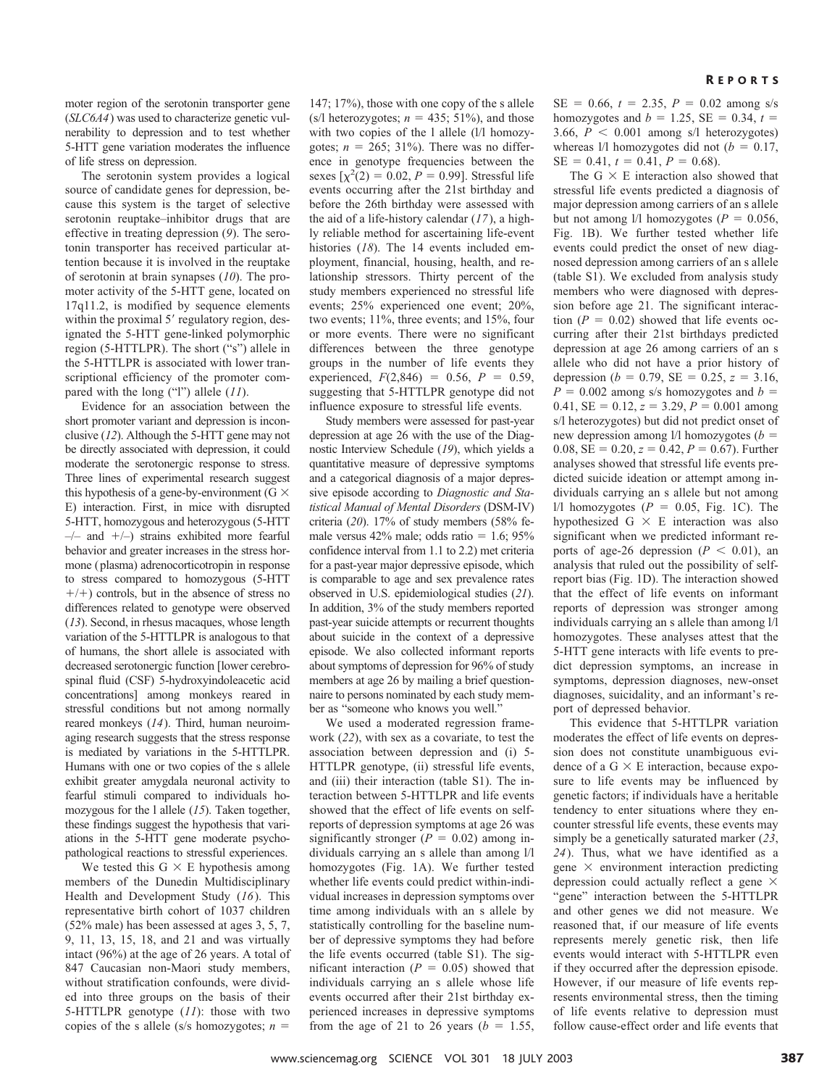moter region of the serotonin transporter gene (*SLC6A4*) was used to characterize genetic vulnerability to depression and to test whether 5-HTT gene variation moderates the influence of life stress on depression.

The serotonin system provides a logical source of candidate genes for depression, because this system is the target of selective serotonin reuptake–inhibitor drugs that are effective in treating depression (*9*). The serotonin transporter has received particular attention because it is involved in the reuptake of serotonin at brain synapses (*10*). The promoter activity of the 5-HTT gene, located on 17q11.2, is modified by sequence elements within the proximal 5' regulatory region, designated the 5-HTT gene-linked polymorphic region (5-HTTLPR). The short ("s") allele in the 5-HTTLPR is associated with lower transcriptional efficiency of the promoter compared with the long ("l") allele (*11*).

Evidence for an association between the short promoter variant and depression is inconclusive (*12*). Although the 5-HTT gene may not be directly associated with depression, it could moderate the serotonergic response to stress. Three lines of experimental research suggest this hypothesis of a gene-by-environment ( $G \times$ E) interaction. First, in mice with disrupted 5-HTT, homozygous and heterozygous (5-HTT  $-/-$  and  $+/-$ ) strains exhibited more fearful behavior and greater increases in the stress hormone (plasma) adrenocorticotropin in response to stress compared to homozygous (5-HTT  $+/-$ ) controls, but in the absence of stress no differences related to genotype were observed (*13*). Second, in rhesus macaques, whose length variation of the 5-HTTLPR is analogous to that of humans, the short allele is associated with decreased serotonergic function [lower cerebrospinal fluid (CSF) 5-hydroxyindoleacetic acid concentrations] among monkeys reared in stressful conditions but not among normally reared monkeys (*14*). Third, human neuroimaging research suggests that the stress response is mediated by variations in the 5-HTTLPR. Humans with one or two copies of the s allele exhibit greater amygdala neuronal activity to fearful stimuli compared to individuals homozygous for the l allele (*15*). Taken together, these findings suggest the hypothesis that variations in the 5-HTT gene moderate psychopathological reactions to stressful experiences.

We tested this  $G \times E$  hypothesis among members of the Dunedin Multidisciplinary Health and Development Study (*16*). This representative birth cohort of 1037 children (52% male) has been assessed at ages 3, 5, 7, 9, 11, 13, 15, 18, and 21 and was virtually intact (96%) at the age of 26 years. A total of 847 Caucasian non-Maori study members, without stratification confounds, were divided into three groups on the basis of their 5-HTTLPR genotype (*11*): those with two copies of the s allele (s/s homozygotes;  $n =$ 

147; 17%), those with one copy of the s allele  $(s/l$  heterozygotes;  $n = 435$ ; 51%), and those with two copies of the 1 allele (1/1 homozygotes;  $n = 265$ ; 31%). There was no difference in genotype frequencies between the sexes  $[\chi^2(2) = 0.02, P = 0.99]$ . Stressful life events occurring after the 21st birthday and before the 26th birthday were assessed with the aid of a life-history calendar (*17*), a highly reliable method for ascertaining life-event histories (*18*). The 14 events included employment, financial, housing, health, and relationship stressors. Thirty percent of the study members experienced no stressful life events; 25% experienced one event; 20%, two events; 11%, three events; and 15%, four or more events. There were no significant differences between the three genotype groups in the number of life events they experienced,  $F(2,846) = 0.56$ ,  $P = 0.59$ , suggesting that 5-HTTLPR genotype did not influence exposure to stressful life events.

Study members were assessed for past-year depression at age 26 with the use of the Diagnostic Interview Schedule (*19*), which yields a quantitative measure of depressive symptoms and a categorical diagnosis of a major depressive episode according to *Diagnostic and Statistical Manual of Mental Disorders* (DSM-IV) criteria (*20*). 17% of study members (58% female versus  $42\%$  male; odds ratio = 1.6;  $95\%$ confidence interval from 1.1 to 2.2) met criteria for a past-year major depressive episode, which is comparable to age and sex prevalence rates observed in U.S. epidemiological studies (*21*). In addition, 3% of the study members reported past-year suicide attempts or recurrent thoughts about suicide in the context of a depressive episode. We also collected informant reports about symptoms of depression for 96% of study members at age 26 by mailing a brief questionnaire to persons nominated by each study member as "someone who knows you well."

We used a moderated regression framework (*22*), with sex as a covariate, to test the association between depression and (i) 5- HTTLPR genotype, (ii) stressful life events, and (iii) their interaction (table S1). The interaction between 5-HTTLPR and life events showed that the effect of life events on selfreports of depression symptoms at age 26 was significantly stronger  $(P = 0.02)$  among individuals carrying an s allele than among l/l homozygotes (Fig. 1A). We further tested whether life events could predict within-individual increases in depression symptoms over time among individuals with an s allele by statistically controlling for the baseline number of depressive symptoms they had before the life events occurred (table S1). The sigmificant interaction  $(P = 0.05)$  showed that individuals carrying an s allele whose life events occurred after their 21st birthday experienced increases in depressive symptoms from the age of 21 to 26 years  $(b = 1.55,$ 

 $SE = 0.66$ ,  $t = 2.35$ ,  $P = 0.02$  among s/s homozygotes and  $b = 1.25$ , SE = 0.34,  $t =$ 3.66,  $P \le 0.001$  among s/l heterozygotes) whereas  $1/1$  homozygotes did not ( $b = 0.17$ ,  $SE = 0.41, t = 0.41, P = 0.68$ .

The  $G \times E$  interaction also showed that stressful life events predicted a diagnosis of major depression among carriers of an s allele but not among  $1/1$  homozygotes ( $P = 0.056$ , Fig. 1B). We further tested whether life events could predict the onset of new diagnosed depression among carriers of an s allele (table S1). We excluded from analysis study members who were diagnosed with depression before age 21. The significant interaction  $(P = 0.02)$  showed that life events occurring after their 21st birthdays predicted depression at age 26 among carriers of an s allele who did not have a prior history of depression ( $b = 0.79$ , SE = 0.25,  $z = 3.16$ ,  $P = 0.002$  among s/s homozygotes and  $b =$  $0.41$ , SE =  $0.12$ ,  $z = 3.29$ ,  $P = 0.001$  among s/l heterozygotes) but did not predict onset of new depression among  $1/1$  homozygotes ( $b =$ 0.08,  $SE = 0.20$ ,  $z = 0.42$ ,  $P = 0.67$ ). Further analyses showed that stressful life events predicted suicide ideation or attempt among individuals carrying an s allele but not among  $1/1$  homozygotes ( $P = 0.05$ , Fig. 1C). The hypothesized G  $\times$  E interaction was also significant when we predicted informant reports of age-26 depression ( $P < 0.01$ ), an analysis that ruled out the possibility of selfreport bias (Fig. 1D). The interaction showed that the effect of life events on informant reports of depression was stronger among individuals carrying an s allele than among l/l homozygotes. These analyses attest that the 5-HTT gene interacts with life events to predict depression symptoms, an increase in symptoms, depression diagnoses, new-onset diagnoses, suicidality, and an informant's report of depressed behavior.

This evidence that 5-HTTLPR variation moderates the effect of life events on depression does not constitute unambiguous evidence of a  $G \times E$  interaction, because exposure to life events may be influenced by genetic factors; if individuals have a heritable tendency to enter situations where they encounter stressful life events, these events may simply be a genetically saturated marker (*23*, *24*). Thus, what we have identified as a gene  $\times$  environment interaction predicting depression could actually reflect a gene  $\times$ "gene" interaction between the 5-HTTLPR and other genes we did not measure. We reasoned that, if our measure of life events represents merely genetic risk, then life events would interact with 5-HTTLPR even if they occurred after the depression episode. However, if our measure of life events represents environmental stress, then the timing of life events relative to depression must follow cause-effect order and life events that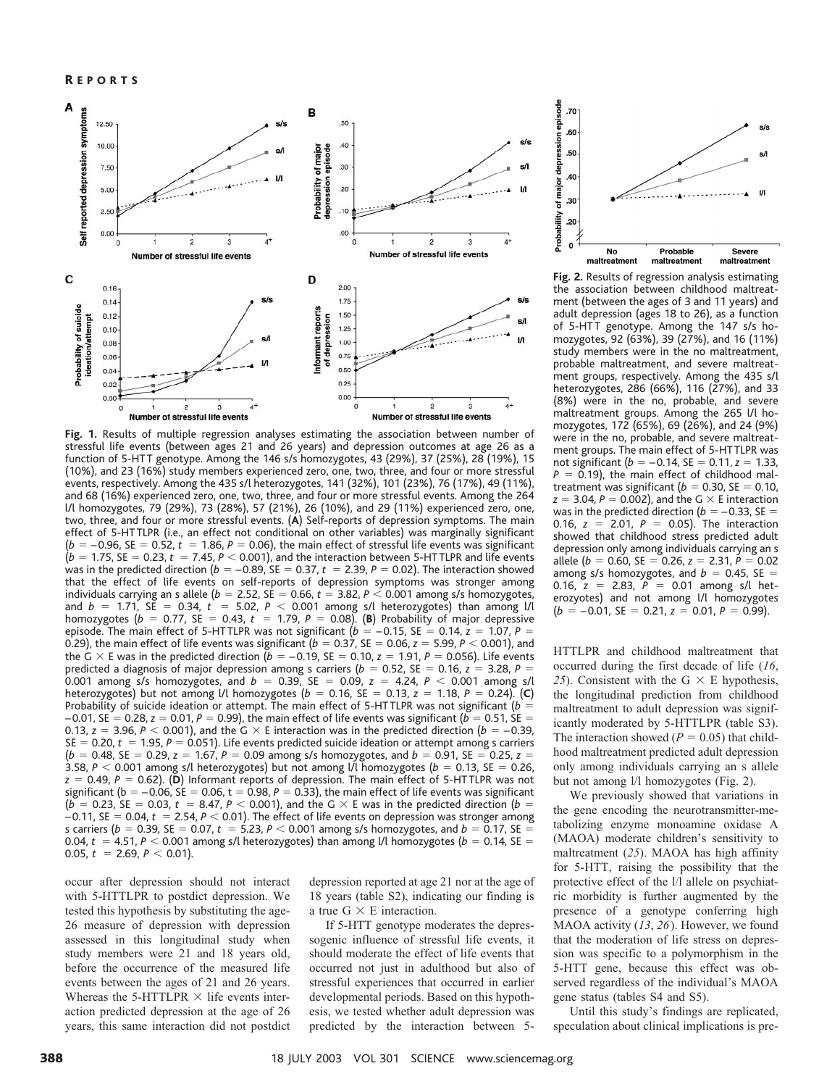

**Fig. 1.** Results of multiple regression analyses estimating the association between number of stressful life events (between ages 21 and 26 years) and depression outcomes at age 26 as a function of 5-HT T genotype. Among the 146 s/s homozygotes, 43 (29%), 37(25%), 28 (19%), 15 (10%), and 23 (16%) study members experienced zero, one, two, three, and four or more stressful events, respectively. Among the 435 s/l heterozygotes, 141 (32%), 101 (23%), 76 (17%), 49 (11%), and 68 (16%) experienced zero, one, two, three, and four or more stressful events. Among the 264 l/l homozygotes, 79 (29%), 73 (28%), 57 (21%), 26 (10%), and 29 (11%) experienced zero, one, two, three, and four or more stressful events. (**A**) Self-reports of depression symptoms. The main effect of 5-HT TLPR (i.e., an effect not conditional on other variables) was marginally significant  $(b = -0.96, \, \text{SE} = 0.52, t = 1.86, P = 0.06$ ), the main effect of stressful life events was significant  $(b = 1.75,$  SE  $= 0.23, t = 7.45, P < 0.001$ ), and the interaction between 5-HTTLPR and life events was in the predicted direction ( $b = -0.89$ , SE  $= 0.37$ ,  $t = 2.39$ ,  $P = 0.02$ ). The interaction showed that the effect of life events on self-reports of depression symptoms was stronger among individuals carrying an s allele ( $b = 2.52$ , SE  $= 0.66$ ,  $t = 3.82$ ,  $P < 0.001$  among s/s homozygotes, and  $b = 1.71$ , SE = 0.34,  $t = 5.02$ ,  $P < 0.001$  among s/l heterozygotes) than among l/l homozygotes ( $b = 0.77$ , SE = 0.43,  $t = 1.79$ ,  $P = 0.08$ ). (B) Probability of major depressive episode. The main effect of 5-HTTLPR was not significant ( $b = -0.15$ , SE = 0.14,  $z = 1.07$ ,  $P =$ 0.29), the main effect of life events was significant ( $b=$  0.37, SE  $=$  0.06,  $z=$  5.99,  $P$   $<$  0.001), and the G  $\times$  E was in the predicted direction ( $b=-0.19$ , SE  $=0.10$ ,  $z=1.91$ ,  $P=0.056$ ). Life events predicted a diagnosis of major depression among s carriers ( $b = 0.52$ , SE = 0.16,  $z = 3.28$ , P = 0.001 among s/s homozygotes, and  $b = 0.39$ , SE = 0.09,  $z = 4.24$ ,  $P < 0.001$  among s/l heterozygotes) but not among l/l homozygotes ( $b = 0.16$ , SE  $= 0.13$ ,  $z = 1.18$ ,  $P = 0.24$ ). (**C**) Probability of suicide ideation or attempt. The main effect of 5-HTTLPR was not significant ( $b =$  $-0.01$ , SE  $=0.28$ ,  $z=0.01$ ,  $P=0.99$ ), the main effect of life events was significant ( $b=0.51$ , SE  $=$ 0.13,  $z =$  3.96,  $P <$  0.001), and the G  $\times$  E interaction was in the predicted direction ( $b =$  –0.39,  $SE = 0.20$ ,  $t = 1.95$ ,  $P = 0.051$ ). Life events predicted suicide ideation or attempt among s carriers  $(b = 0.48, \text{ SE} = 0.29, z = 1.67, P = 0.09$  among s/s homozygotes, and  $b = 0.91, \text{ SE} = 0.25, z = 0.29$ 3.58,  $P <$  0.001 among s/l heterozygotes) but not among l/l homozygotes ( $b =$  0.13, SE  $=$  0.26,  $\,$ *z* = 0.49, *P* = 0.62). (**D**) Informant reports of depression. The main effect of 5-HTTLPR was not significant ( $\mathsf{b} = -0.06$ , SE  $= 0.06$ , t  $= 0.98$ ,  $\mathsf{P} = 0.33$ ), the main effect of life events was significant  $(b = 0.23, \text{ SE} = 0.03, t = 8.47, P < 0.001$ ), and the G  $\times$  E was in the predicted direction ( $b =$  $-0.11$ , SE  $=0.04$ ,  $t\,=\,$  2.54,  $P$   $<$  0.01). The effect of life events on depression was stronger among s carriers ( $b=$  0.39, SE  $=$  0.07,  $t~=$  5.23,  $P$   $<$  0.001 among s/s homozygotes, and  $b=$  0.17, SE  $=$ 0.04,  $t~=$  4.51,  $P <$  0.001 among s/l heterozygotes) than among l/l homozygotes ( $b~=$  0.14, SE  $=$ 0.05,  $t = 2.69, P < 0.01$ ).

occur after depression should not interact with 5-HTTLPR to postdict depression. We tested this hypothesis by substituting the age-26 measure of depression with depression assessed in this longitudinal study when study members were 21 and 18 years old, before the occurrence of the measured life events between the ages of 21 and 26 years. Whereas the 5-HTTLPR  $\times$  life events interaction predicted depression at the age of 26 years, this same interaction did not postdict depression reported at age 21 nor at the age of 18 years (table S2), indicating our finding is a true  $G \times E$  interaction.

If 5-HTT genotype moderates the depressogenic influence of stressful life events, it should moderate the effect of life events that occurred not just in adulthood but also of stressful experiences that occurred in earlier developmental periods. Based on this hypothesis, we tested whether adult depression was predicted by the interaction between 5-



**Fig. 2.** Results of regression analysis estimating the association between childhood maltreatment (between the ages of 3 and 11 years) and adult depression (ages 18 to 26), as a function of 5-HTT genotype. Among the 147 s/s homozygotes, 92 (63%), 39 (27%), and 16 (11%) study members were in the no maltreatment, probable maltreatment, and severe maltreatment groups, respectively. Among the 435 s/l heterozygotes, 286 (66%), 116 (27%), and 33 (8%) were in the no, probable, and severe maltreatment groups. Among the 265 l/l homozygotes, 172 (65%), 69 (26%), and 24 (9%) were in the no, probable, and severe maltreatment groups. The main effect of 5-HT TLPR was not significant (b = –0.14, SE = 0.11, z = 1.33,  $P = 0.19$ ), the main effect of childhood maltreatment was significant ( $b = 0.30$ , SE  $= 0.10$ ,  $z = 3.04$ ,  $P = 0.002$ ), and the G  $\times$  E interaction was in the predicted direction ( $b = -0.33$ , SE  $=$ 0.16,  $z = 2.01$ ,  $P = 0.05$ ). The interaction showed that childhood stress predicted adult depression only among individuals carrying an s allele ( $b = 0.60$ , SE = 0.26,  $z = 2.31$ ,  $P = 0.02$ among s/s homozygotes, and  $b = 0.45$ , SE = 0.16,  $z = 2.83$ ,  $P = 0.01$  among s/l heterozyotes) and not among l/l homozygotes  $(b = -0.01, \text{ SE} = 0.21, z = 0.01, P = 0.99).$ 

HTTLPR and childhood maltreatment that occurred during the first decade of life (*16*, 25). Consistent with the  $G \times E$  hypothesis, the longitudinal prediction from childhood maltreatment to adult depression was significantly moderated by 5-HTTLPR (table S3). The interaction showed  $(P = 0.05)$  that childhood maltreatment predicted adult depression only among individuals carrying an s allele but not among l/l homozygotes (Fig. 2).

We previously showed that variations in the gene encoding the neurotransmitter-metabolizing enzyme monoamine oxidase A (MAOA) moderate children's sensitivity to maltreatment (*25*). MAOA has high affinity for 5-HTT, raising the possibility that the protective effect of the l/l allele on psychiatric morbidity is further augmented by the presence of a genotype conferring high MAOA activity (*13*, *26*). However, we found that the moderation of life stress on depression was specific to a polymorphism in the 5-HTT gene, because this effect was observed regardless of the individual's MAOA gene status (tables S4 and S5).

Until this study's findings are replicated, speculation about clinical implications is pre-